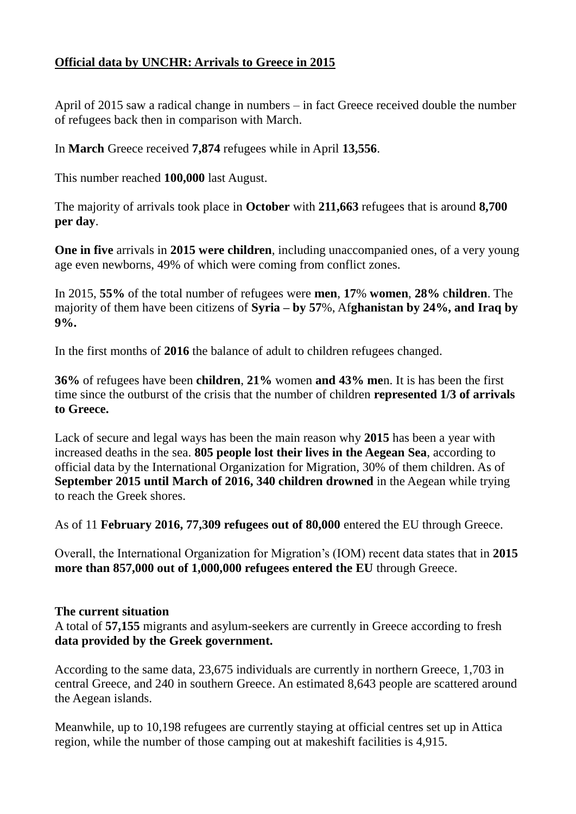## **Official data by UNCHR: Arrivals to Greece in 2015**

April of 2015 saw a radical change in numbers – in fact Greece received double the number of refugees back then in comparison with March.

In **March** Greece received **7,874** refugees while in April **13,556**.

This number reached **100,000** last August.

The majority of arrivals took place in **October** with **211,663** refugees that is around **8,700 per day**.

**One in five** arrivals in **2015 were children**, including unaccompanied ones, of a very young age even newborns, 49% of which were coming from conflict zones.

In 2015, **55%** of the total number of refugees were **men**, **17**% **women**, **28%** c**hildren**. The majority of them have been citizens of **Syria – by 57**%, Af**ghanistan by 24%, and Iraq by 9%.**

In the first months of **2016** the balance of adult to children refugees changed.

**36%** of refugees have been **children**, **21%** women **and 43% me**n. It is has been the first time since the outburst of the crisis that the number of children **represented 1/3 of arrivals to Greece.**

Lack of secure and legal ways has been the main reason why **2015** has been a year with increased deaths in the sea. **805 people lost their lives in the Aegean Sea**, according to official data by the International Organization for Migration, 30% of them children. As of **September 2015 until March of 2016, 340 children drowned** in the Aegean while trying to reach the Greek shores.

As of 11 **February 2016, 77,309 refugees out of 80,000** entered the EU through Greece.

Overall, the International Organization for Migration's (IOM) recent data states that in **2015 more than 857,000 out of 1,000,000 refugees entered the EU** through Greece.

## **The current situation**

A total of **57,155** migrants and asylum-seekers are currently in Greece according to fresh **data provided by the Greek government.** 

According to the same data, 23,675 individuals are currently in northern Greece, 1,703 in central Greece, and 240 in southern Greece. An estimated 8,643 people are scattered around the Aegean islands.

Meanwhile, up to 10,198 refugees are currently staying at official centres set up in Attica region, while the number of those camping out at makeshift facilities is 4,915.